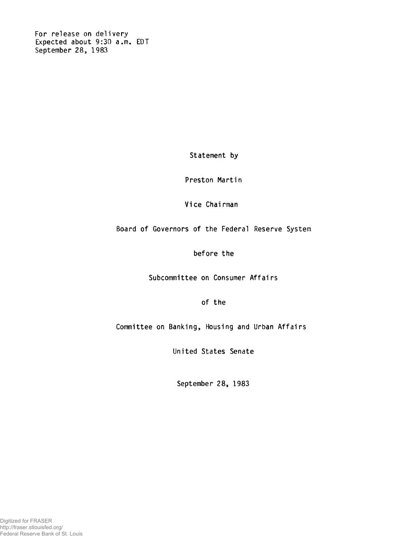**For release on delivery Expected about 9:30 a.m. EDT September 28, 1983**

**Statement by**

**Preston Martin**

**Vice Chairman**

**Board of Governors of the Federal Reserve System**

**before the**

**Subcommittee on Consumer Affairs**

**of the**

**Committee on Banking, Housing and Urban Affairs**

**United States Senate**

**September 28, 1983**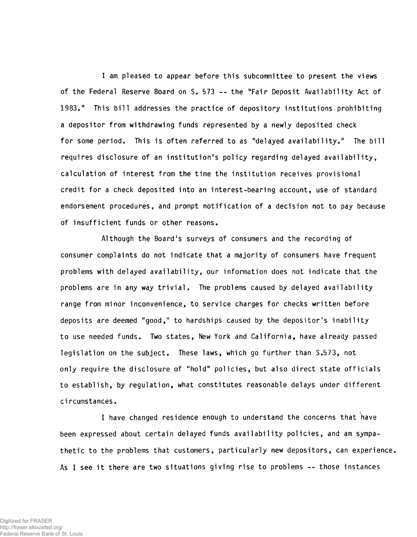**I am pleased to appear before this subcommittee to present the views of the Federal Reserve Board on S. 573 — the "Fair Deposit Availability Act of 1983." This bill addresses the practice of depository institutions prohibiting a depositor from withdrawing funds represented by a newly deposited check for some period. This is often referred to as "delayed availability." The bill requires disclosure of an institution's policy regarding delayed availability, calculation of interest from the time the institution receives provisional credit for a check deposited into an interest-bearing account, use of standard endorsement procedures, and prompt notification of a decision not to pay because of insufficient funds or other reasons.**

**Although the Board's surveys of consumers and the recording of consumer complaints do not indicate that a majority of consumers have frequent problems with delayed availability, our information does not indicate that the problems are in any way trivial. The problems caused by delayed availability range from minor inconvenience, to service charges for checks written before deposits are deemed "good," to hardships caused by the depositor's inability to use needed funds. Two states, New York and California, have already passed legislation on the subject. These laws, which go further than S.573, not only require the disclosure of "hold" policies, but also direct state officials to establish, by regulation, what constitutes reasonable delays under different ci rcumstances.**

**I have changed residence enough to understand the concerns that have been expressed about certain delayed funds availability policies, and am sympathetic to the problems that customers, particularly new depositors, can experience. As I see it there are two situations giving rise to problems -- those instances**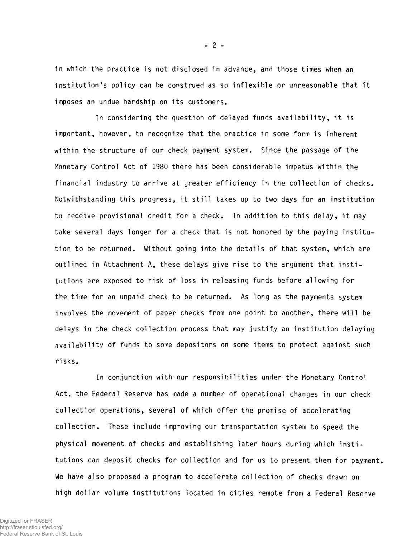**in which the practice is not disclosed in advance, and those times when an institution's policy can be construed as so inflexible or unreasonable that it imposes an undue hardship on its customers.**

**In considering the question of delayed funds availability, it is important, however, to recognize that the practice in some form is inherent within the structure of our check payment system. Since the passage of the Monetary Control Act of 1980 there has been considerable impetus within the financial industry to arrive at greater efficiency in the collection of checks. Notwithstanding this progress, it still takes up to two days for an institution to receive provisional credit for a check. In addition to this delay, it may take several days longer for a check that is not honored by the paying institution to be returned. Without going into the details of that system, which are outlined in Attachment A, these delays give rise to the argument that institutions are exposed to risk of loss in releasing funds before allowing for the time for an unpaid check to be returned. As long as the payments system involves the movement of paper checks from one point to another, there will be delays in the check collection process that may justify an institution delaying availability of funds to some depositors on some items to protect against such ri sks.**

**In conjunction with- our responsibilities under the Monetary Control Act, the Federal Reserve has made a number of operational changes in our check collection operations, several of which offer the promise of accelerating collection. These include improving our transportation system to speed the physical movement of checks and establishing later hours during which institutions can deposit checks for collection and for us to present them for payment. We have also proposed a program to accelerate collection of checks drawn on high dollar volume institutions located in cities remote from a Federal Reserve**

**-** 2 **-**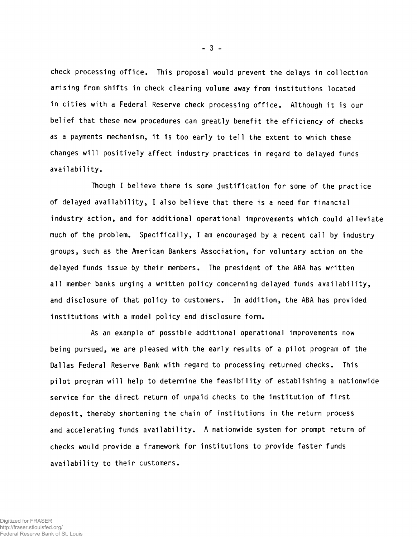**check processing office. This proposal would prevent the delays in collection arising from shifts in check clearing volume away from institutions located in cities with a Federal Reserve check processing office. Although it is our belief that these new procedures can greatly benefit the efficiency of checks as a payments mechanism, it is too early to tell the extent to which these changes will positively affect industry practices in regard to delayed funds availability.**

**Though I believe there is some justification for some of the practice of delayed availability, I also believe that there is a need for financial industry action, and for additional operational improvements which could alleviate much of the problem. Specifically, I am encouraged by a recent call by industry groups, such as the American Bankers Association, for voluntary action on the delayed funds issue by their members. The president of the ABA has written all member banks urging a written policy concerning delayed funds availability, and disclosure of that policy to customers. In addition, the ABA has provided institutions with a model policy and disclosure form.**

**As an example of possible additional operational improvements now being pursued, we are pleased with the early results of a pilot program of the Dallas Federal Reserve Bank with regard to processing returned checks. This pilot program will help to determine the feasibility of establishing a nationwide service for the direct return of unpaid checks to the institution of first deposit, thereby shortening the chain of institutions in the return process and accelerating funds availability. A nationwide system for prompt return of checks would provide a framework for institutions to provide faster funds availability to their customers.**

 $-3 -$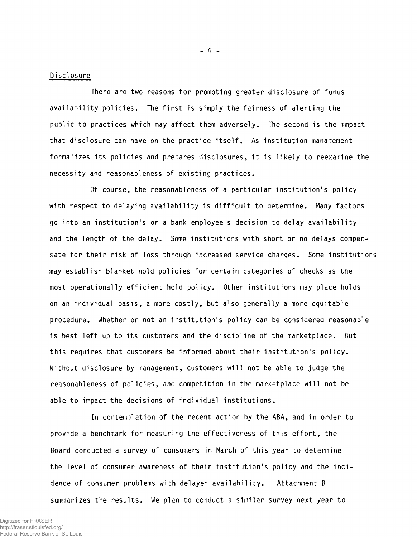## **Disclosure**

**There are two reasons for promoting greater disclosure of funds availability policies. The first is simply the fairness of alerting the public to practices which may affect them adversely. The second is the impact that disclosure can have on the practice itself. As institution management formalizes its policies and prepares disclosures, it is likely to reexamine the necessity and reasonableness of existing practices.**

**Of course, the reasonableness of a particular institution's policy with respect to delaying availability is difficult to determine. Many factors go into an institution's or a bank employee's decision to delay availability and the length of the delay. Some institutions with short or no delays compensate for their risk of loss through increased service charges. Some institutions may establish blanket hold policies for certain categories of checks as the most operationally efficient hold policy. Other institutions may place holds on an individual basis, a more costly, but also generally a more equitable procedure. Whether or not an institution's policy can be considered reasonable is best left up to its customers and the discipline of the marketplace. But this requires that customers be informed about their institution's policy. Without disclosure by management, customers will not be able to judge the reasonableness of policies, and competition in the marketplace will not be able to impact the decisions of individual institutions.**

**In contemplation of the recent action by the ABA, and in order to provide a benchmark for measuring the effectiveness of this effort, the Board conducted a survey of consumers in March of this year to determine the level of consumer awareness of their institution's policy and the incidence of consumer problems with delayed availability. Attachment B summarizes the results. We plan to conduct a similar survey next year to**

**- 4 -**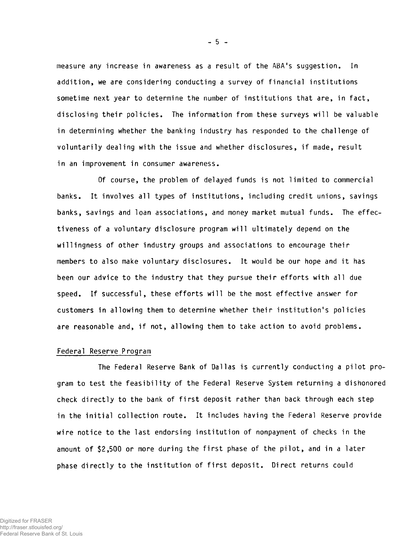**measure any increase in awareness as a result of the ABA's suggestion. In addition, we are considering conducting a survey of financial institutions sometime next year to determine the number of institutions that are, in fact, disclosing their policies. The information from these surveys will be valuable in determining whether the banking industry has responded to the challenge of voluntarily dealing with the issue and whether disclosures, if made, result in an improvement in consumer awareness.**

**Of course, the problem of delayed funds is not limited to commercial banks. It involves all types of institutions, including credit unions, savings banks, savings and loan associations, and money market mutual funds. The effectiveness of a voluntary disclosure program will ultimately depend on the willingness of other industry groups and associations to encourage their members to also make voluntary disclosures. It would be our hope and it has been our advice to the industry that they pursue their efforts with all due speed. If successful, these efforts will be the most effective answer for customers in allowing them to determine whether their institution's policies are reasonable and, if not, allowing them to take action to avoid problems.**

#### **Federal Reserve Program**

**The Federal Reserve Bank of Dallas is currently conducting a pilot program to test the feasibility of the Federal Reserve System returning a dishonored check directly to the bank of first deposit rather than back through each step in the initial collection route. It includes having the Federal Reserve provide wire notice to the last endorsing institution of nonpayment of checks in the amount of \$2,500 or more during the first phase of the pilot, and in a later phase directly to the institution of first deposit. Direct returns could**

**- 5 -**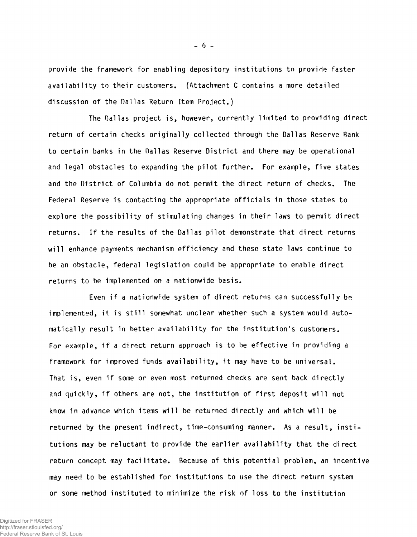**provide the framework for enabling depository institutions to provide faster availability to their customers. (Attachment C contains a more detailed discussion of the Dallas Return Item Project.)**

**The Dallas project is, however, currently limited to providing direct return of certain checks originally collected through the Dallas Reserve Bank to certain banks in the Dallas Reserve District and there may be operational and legal obstacles to expanding the pilot further. For example, five states and the District of Columbia do not permit the direct return of checks. The Federal Reserve is contacting the appropriate officials in those states to explore the possibility of stimulating changes in their laws to permit direct returns. If the results of the Dallas pilot demonstrate that direct returns will enhance payments mechanism efficiency and these state laws continue to be an obstacle, federal legislation could be appropriate to enable direct returns to be implemented on a nationwide basis.**

**Even if a nationwide system of direct returns can successfully be** implemented, it is still somewhat unclear whether such a system would auto**matically result in better availability for the institution's customers. For example, if a direct return approach is to be effective in providing a framework for improved funds availability, it may have to be universal. That is, even if some or even most returned checks are sent back directly and quickly, if others are not, the institution of first deposit will not know in advance which items will be returned directly and which will be returned by the present indirect, time-consuming manner. As a result, institutions may be reluctant to provide the earlier availability that the direct return concept may facilitate. Because of this potential problem, an incentive may need to be established for institutions to use the direct return system or some method instituted to minimize the risk of loss to the institution**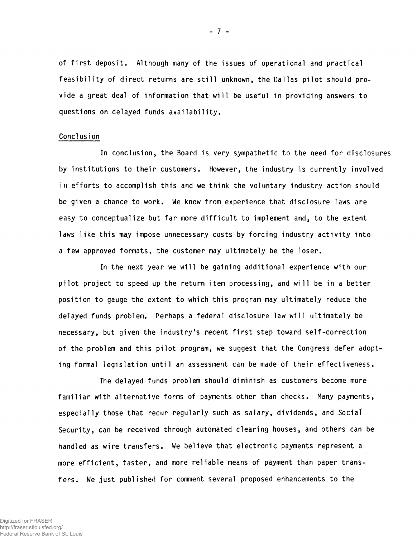**of first deposit. Although many of the issues of operational and practical feasibility of direct returns are still unknown, the Dallas pilot should provide a great deal of information that will be useful in providing answers to questions on delayed funds availability.**

#### **Cone!usion**

**In conclusion, the Board is very sympathetic to the need for disclosures by institutions to their customers. However, the industry is currently involved in efforts to accomplish this and we think the voluntary industry action should be given a chance to work. We know from experience that disclosure laws are easy to conceptualize but far more difficult to implement and, to the extent laws like this may impose unnecessary costs by forcing industry activity into a few approved formats, the customer may ultimately be the loser.**

**In the next year we will be gaining additional experience with our pilot project to speed up the return item processing, and will be in a better position to gauge the extent to which this program may ultimately reduce the delayed funds problem. Perhaps a federal disclosure law will ultimately be necessary, but given the industry's recent first step toward self-correction of the problem and this pilot program, we suggest that the Congress defer adopting formal legislation until an assessment can be made of their effectiveness.**

**The delayed funds problem should diminish as customers become more familiar with alternative forms of payments other than checks. Many payments, especially those that recur regularly such as salary, dividends, and Sociat Security, can be received through automated clearing houses, and others can be handled as wire transfers. We believe that electronic payments represent a more efficient, faster, and more reliable means of payment than paper transfers. We just published for comment several proposed enhancements to the**

**- 7 -**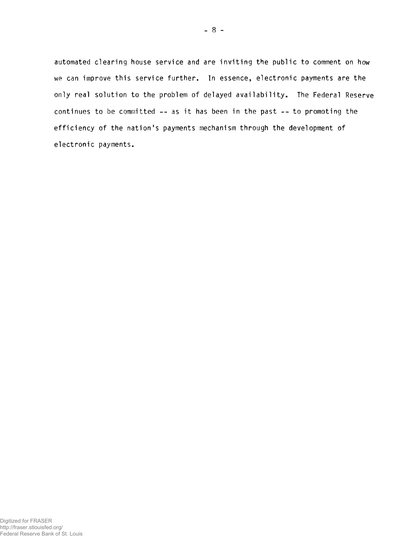**automated clearing house service and are inviting the public to comment on how we can improve this service further. In essence, electronic payments are the only real solution to the problem of delayed availability. The Federal Reserve continues to be committed -- as it has been in the past -- to promoting the efficiency of the nation's payments mechanism through the development of electronic payments.**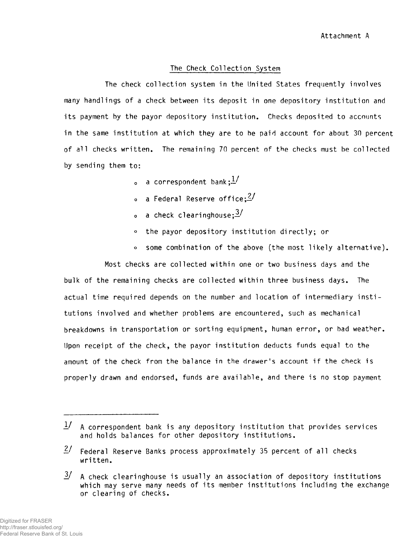## **The Check Collection System**

**The check collection system in the United States frequently involves many handlings of a check between its deposit in one depository institution and its payment by the payor depository institution. Checks deposited to accounts in the same institution at which they are to be paid account for about 30 percent of all checks written. The remaining 70 percent of the checks must be collected by sending them to:**

- **a** correspondent bank;  $\frac{1}{2}$
- a Federal Reserve office;<sup>2/</sup>
- a check clearinghouse; $\frac{3}{4}$
- **° the payor depository institution directly; or**
- **° some combination of the above (the most likely alternative).**

**Most checks are collected within one or two business days and the bulk of the remaining checks are collected within three business days. The actual time required depends on the number and location of intermediary institutions involved and whether problems are encountered, such as mechanical breakdowns in transportation or sorting equipment, human error, or bad weather. Upon receipt of the check, the payor institution deducts funds equal to the amount of the check from the balance in the drawer's account if the check is properly drawn and endorsed, funds are available, and there is no stop payment**

**<sup>1/</sup> A correspondent bank is any depository institution that provides services and holds balances for other depository institutions.**

*<sup>—</sup> I* **Federal Reserve Banks process approximately 35 percent of all checks written.**

<sup>&</sup>lt;sup>3</sup>/ A check clearinghouse is usually an association of depository institutions **which may serve many needs of its member institutions including the exchange or clearing of checks.**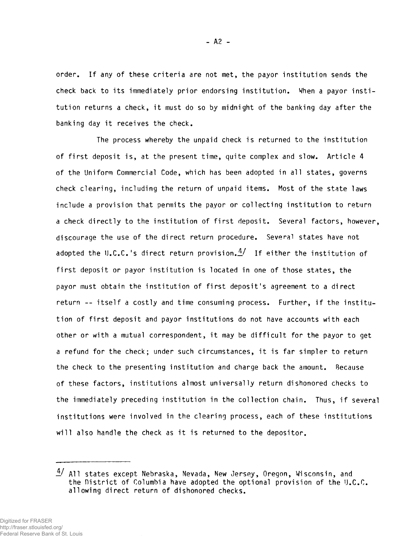**order. If any of these criteria are not met, the payor institution sends the check back to its immediately prior endorsing institution. When a payor institution returns a check, it must do so by midnight of the banking day after the banking day it receives the check.**

**The process whereby the unpaid check is returned to the institution of first deposit is, at the present time, quite complex and slow. Article 4 of the Uniform Commercial Code, which has been adopted in all states, governs check clearing, including the return of unpaid items. Most of the state laws include a provision that permits the payor or collecting institution to return a check directly to the institution of first deposit. Several factors, however, discourage the use of the direct return procedure. Several states have not adopted the IJ.C.C.'s direct return provision.£/ If either the institution of first deposit or payor institution is located in one of those states, the payor must obtain the institution of first deposit's agreement to a direct return -- itself a costly and time consuming process. Further, if the institution of first deposit and payor institutions do not have accounts with each other or with a mutual correspondent, it may be difficult for the payor to get a refund for the check; under such circumstances, it is far simpler to return the check to the presenting institution and charge back the amount. Because of these factors, institutions almost universally return dishonored checks to the immediately preceding institution in the collection chain. Thus, if several institutions were involved in the clearing process, each of these institutions will also handle the check as it is returned to the depositor.**

*<sup>—</sup> f* **All states except Nebraska, Nevada, New Jersey, Oregon, Wisconsin, and the District of Columbia have adopted the optional provision of the U.C.C. allowing direct return of dishonored checks.**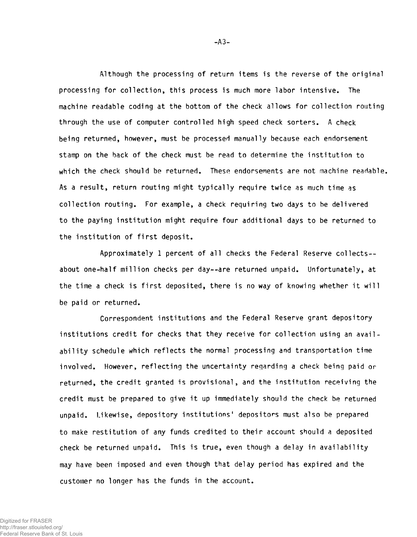**Although the processing of return items is the reverse of the original processing for collection, this process is much more labor intensive. The machine readable coding at the bottom of the check allows for collection routing through the use of computer controlled high speed check sorters. A check being returned, however, must be processed manually because each endorsement stamp on the back of the check must be read to determine the institution to which the check should be returned. These endorsements are not machine readable. As a result, return routing might typically require twice as much time as collection routing. For example, a check requiring two days to be delivered to the paying institution might require four additional days to be returned to the institution of first deposit.**

**Approximately 1 percent of all checks the Federal Reserve collects about one-half million checks per day— are returned unpaid. Unfortunately, at the time a check is first deposited, there is no way of knowing whether it will be paid or returned.**

**Correspondent institutions and the Federal Reserve grant depository institutions credit for checks that they receive for collection using an availability schedule which reflects the normal processing and transportation time involved. However, reflecting the uncertainty regarding a check being paid or returned, the credit granted is provisional, and the institution receiving the credit must be prepared to give it up immediately should the check be returned unpaid. Likewise, depository institutions' depositors must also be prepared to make restitution of any funds credited to their account should a deposited check be returned unpaid. This is true, even though a delay in availability may have been imposed and even though that delay period has expired and the customer no longer has the funds in the account.**

-A3-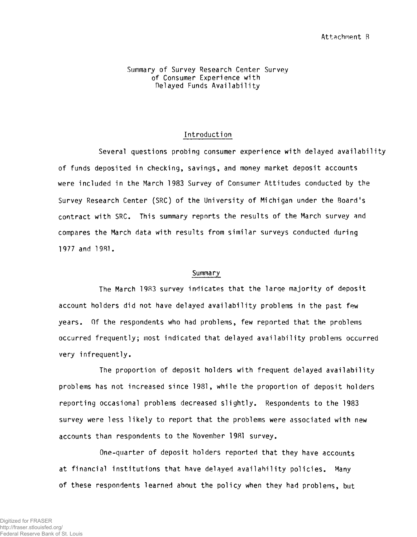#### **Summary of Survey Research Center Survey of Consumer Experience with Delayed Funds Availability**

## **Introduction**

**Several questions probing consumer experience with delayed availability of funds deposited in checking, savings, and money market deposit accounts were included in the March 1983 Survey of Consumer Attitudes conducted by the Survey Research Center (SRC) of the University of Michigan under the Board's contract with SRC. This summary reports the results of the March survey and compares the March data with results from similar surveys conducted during 1977 and 1981.**

### **Summary**

**The March 1983 survey indicates that the large majority of deposit account holders did not have delayed availability problems in the past few years. Of the respondents who had problems, few reported that the problems occurred frequently; most indicated that delayed availability problems occurred very infrequently.**

**The proportion of deposit holders with frequent delayed availability problems has not increased since 1981, while the proportion of deposit holders reporting occasional problems decreased slightly. Respondents to the 1983 survey were less likely to report that the problems were associated with new accounts than respondents to the November 1981 survey.**

**One-quarter of deposit holders reported that they have accounts at financial institutions that have delayed availability policies. Many of these respondents learned about the policy when they had problems, but**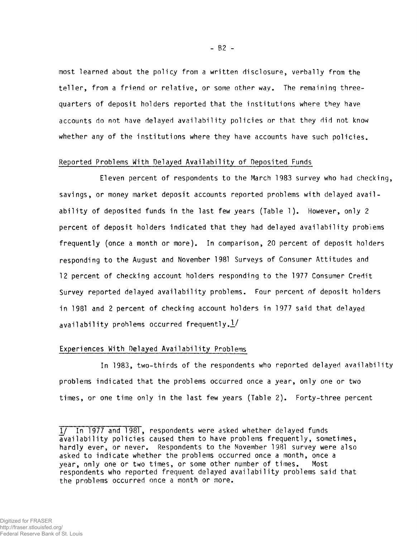**most learned about the policy from a written disclosure, verbally from the teller, from a friend or relative, or some other way. The remaining threequarters of deposit holders reported that the institutions where they have accounts do not have delayed availability policies or that they did not know whether any of the institutions where they have accounts have such policies.**

### **Reported Problems With Delayed Availability of Deposited Funds**

**Eleven percent of respondents to the March 1983 survey who had checking, savings, or money market deposit accounts reported problems with delayed availability of deposited funds in the last few years (Table 1). However, only 2 percent of deposit holders indicated that they had delayed availability problems frequently (once a month or more). In comparison, 20 percent of deposit holders responding to the August and November 1981 Surveys of Consumer Attitudes and 12 percent of checking account holders responding to the 1977 Consumer Credit Survey reported delayed availability problems. Four percent of deposit holders in 1981 and 2 percent of checking account holders in 1977 said that delayed availability problems occurred frequently.J./**

## **Experiences With Delayed Availability Problems**

**In 1983, two-thirds of the respondents who reported delayed availability problems indicated that the problems occurred once a year, only one or two times, or one time only in the last few years (Table 2). Forty-three percent**

 $- B2 -$ 

<sup>1/</sup> In 1977 and 1981, respondents were asked whether delayed funds **availability policies caused them to have problems frequently, sometimes, hardly ever, or never. Respondents to the November 1981 survey were also asked to indicate whether the problems occurred once a month, once a year, only one or two times, or some other number of times. Most respondents who reported frequent delayed availability problems said that the problems occurred once a month or more.**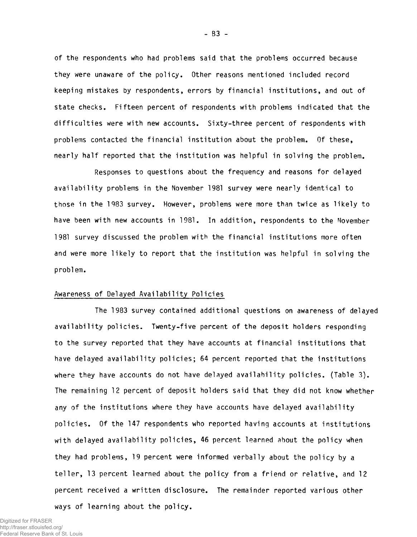**of the respondents who had problems said that the problems occurred because they were unaware of the policy. Other reasons mentioned included record keeping mistakes by respondents, errors by financial institutions, and out of state checks. Fifteen percent of respondents with problems indicated that the difficulties were with new accounts. Sixty-three percent of respondents with problems contacted the financial institution about the problem. Of these, nearly half reported that the institution was helpful in solving the problem.**

**Responses to questions about the frequency and reasons for delayed availability problems in the November 1981 survey were nearly identical to those in the 1983 survey. However, problems were more than twice as likely to have been with new accounts in 1981. In addition, respondents to the November 1981 survey discussed the problem with the financial institutions more often and were more likely to report that the institution was helpful in solving the problem.**

#### **Awareness of Delayed Availability Policies**

**The 1983 survey contained additional questions on awareness of delayed availability policies. Twenty-five percent of the deposit holders responding to the survey reported that they have accounts at financial institutions that have delayed availability policies; 64 percent reported that the institutions where they have accounts do not have delayed availability policies. (Table 3). The remaining 12 percent of deposit holders said that they did not know whether any of the institutions where they have accounts have delayed availability policies. Of the 147 respondents who reported having accounts at institutions with delayed availability policies, 46 percent learned about the policy when they had problems, 19 percent were informed verbally about the policy by a teller, 13 percent learned about the policy from a friend or relative, and 12 percent received a written disclosure. The remainder reported various other ways of learning about the policy.**

Digitized for FRASER http://fraser.stlouisfed.org/ Federal Reserve Bank of St. Louis - B3 -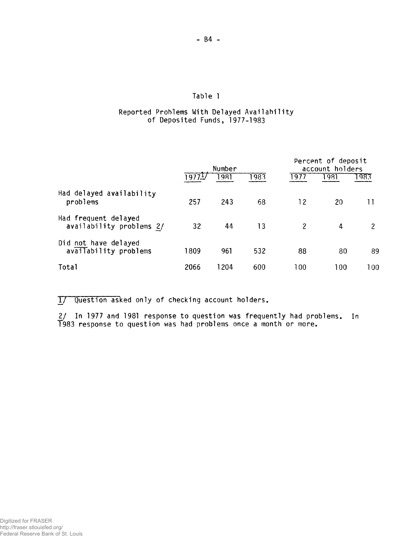## **Table 1**

## **Reported Problems With Delayed Availability of Deposited Funds, 1977-1983**

|                                                  | Number |       |      | Percent of deposit<br>account holders |      |      |
|--------------------------------------------------|--------|-------|------|---------------------------------------|------|------|
|                                                  | 1977   | 1981  | 1983 | 1977                                  | 1981 | -983 |
| Had delayed availability<br>problems             | 257    | 243   | 68   | 12                                    | 20   |      |
| Had frequent delayed<br>availability problems 2/ | 32     | 44    | 13   | 2                                     | 4    | 2    |
| Did not have delayed<br>availability problems    | 1809   | 961   | 532  | 88                                    | 80   | 89   |
| Total                                            | 2066   | 204 ا | 600  | 100                                   | 100  | 100  |

**T7 Question asked only of checking account holders.**

**2/ In 1977 and 1981 response to question was frequently had problems. In 1983 response to question was had problems once a month or more.**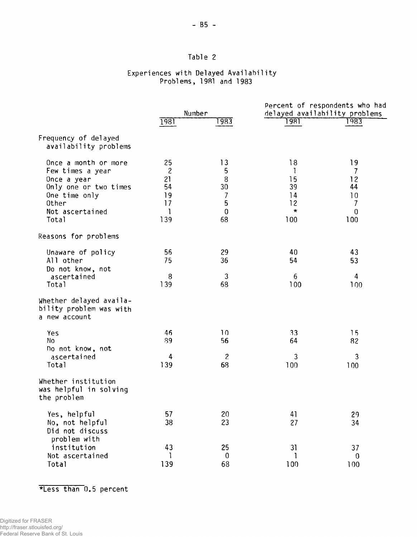## **Table 2**

## **Experiences with Delayed Availability Problems, 1981 and 1983**

|                                                                                                                                        | Number                                                   |                                                                             | Percent of respondents who had<br>delayed availability problems |                                                                                  |  |
|----------------------------------------------------------------------------------------------------------------------------------------|----------------------------------------------------------|-----------------------------------------------------------------------------|-----------------------------------------------------------------|----------------------------------------------------------------------------------|--|
|                                                                                                                                        |                                                          |                                                                             |                                                                 |                                                                                  |  |
|                                                                                                                                        | 1981                                                     | 1983                                                                        | 1981                                                            | 983                                                                              |  |
| Frequency of delayed<br>availability problems                                                                                          |                                                          |                                                                             |                                                                 |                                                                                  |  |
| Once a month or more<br>Few times a year<br>Once a year<br>Only one or two times<br>One time only<br>0ther<br>Not ascertained<br>Total | 25<br>$\overline{c}$<br>21<br>54<br>19<br>17<br>1<br>139 | 13<br>5<br>8<br>30<br>$\overline{\mathcal{I}}$<br>5<br>$\overline{0}$<br>68 | 18<br>Ţ<br>15<br>39<br>14<br>12<br>$\star$<br>100               | 19<br>7<br>12<br>44<br>10<br>$\overline{\phantom{a}}$<br>$\boldsymbol{0}$<br>100 |  |
| Reasons for problems                                                                                                                   |                                                          |                                                                             |                                                                 |                                                                                  |  |
| Unaware of policy<br>All other<br>Do not know, not                                                                                     | 56<br>75                                                 | 29<br>36                                                                    | 40<br>54                                                        | 43<br>53                                                                         |  |
| ascertained<br>Total                                                                                                                   | 8<br>139                                                 | 3<br>68                                                                     | 6<br>100                                                        | 4<br>100                                                                         |  |
| Whether delayed availa-<br>bility problem was with<br>a new account                                                                    |                                                          |                                                                             |                                                                 |                                                                                  |  |
| Yes<br>No<br>ho not know, not                                                                                                          | 46<br>89                                                 | 10<br>56                                                                    | 33<br>64                                                        | 15<br>82                                                                         |  |
| ascertained<br>Total                                                                                                                   | 4<br>139                                                 | $\overline{c}$<br>68                                                        | 3<br>100                                                        | 3<br>100                                                                         |  |
| Whether institution<br>was helpful in solving<br>the problem                                                                           |                                                          |                                                                             |                                                                 |                                                                                  |  |
| Yes, helpful<br>No, not helpful<br>Did not discuss<br>problem with                                                                     | 57<br>38                                                 | 20<br>23                                                                    | 41<br>27                                                        | 29<br>34                                                                         |  |
| institution<br>Not ascertained<br>Total                                                                                                | 43<br>1<br>139                                           | 25<br>$\bf{0}$<br>68                                                        | 31<br>1<br>100                                                  | 37<br>$\boldsymbol{0}$<br>100                                                    |  |

**\*Less than 0.5 percent**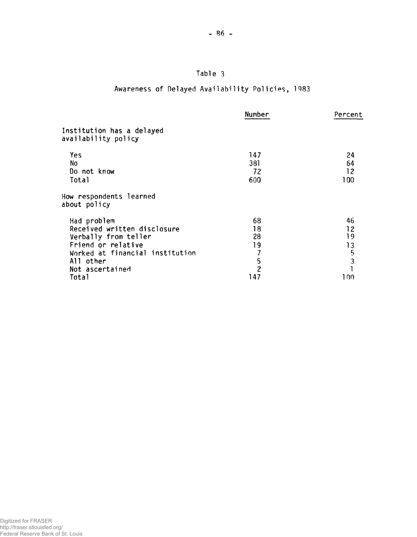# **Table 3**

# **Awareness of Delayed Availability Policies, 1983**

|                                                  | Number         | Percent       |
|--------------------------------------------------|----------------|---------------|
| Institution has a delayed<br>availability policy |                |               |
| Yes                                              | 147            | 24            |
| No                                               | 381            | 64            |
| Do not know                                      | 72             | 12            |
| Total                                            | 600            | 100           |
| How respondents learned<br>about policy          |                |               |
| Had problem                                      | 68             | 46            |
| Received written disclosure                      | 18             | 12            |
| Verbally from teller                             | 28             | 19            |
| Friend or relative                               | 19             | 13            |
| Worked at financial institution                  | 7              | $\frac{5}{3}$ |
| All other                                        | 5              |               |
| Not ascertained                                  | $\overline{c}$ |               |
| Total                                            | 147            | 1 N N         |
|                                                  |                |               |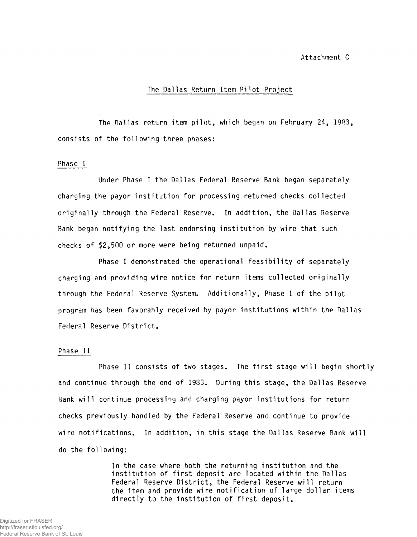Attachment C

### **The Dallas Return Item Pilot Project**

**The Dallas return item pilot, which began on February 24, 1983, consists of the following three phases:**

#### **Phase I**

**Under Phase I the Dallas Federal Reserve Bank began separately charging the payor institution for processing returned checks collected originally through the Federal Reserve. In addition, the Dallas Reserve Bank began notifying the last endorsing institution by wire that such checks of \$2,500 or more were being returned unpaid.**

**Phase I demonstrated the operational feasibility of separately charging and providing wire notice for return items collected originally through the Federal Reserve System. Additionally, Phase I of the pilot program has been favorably received by payor institutions within the Dallas Federal Reserve District.**

### **Phase II**

**Phase II consists of two stages. The first stage will begin shortly and continue through the end of 1983. During this stage, the Dallas Reserve Bank will continue processing and charging payor institutions for return checks previously handled by the Federal Reserve and continue to provide wire notifications. In addition, in this stage the Dallas Reserve Bank will do the following:**

> **In the case where both the returning institution and the institution of first deposit are located within the Dallas Federal Reserve District, the Federal Reserve will return the item and provide wire notification of large dollar items directly to the institution of first deposit.**